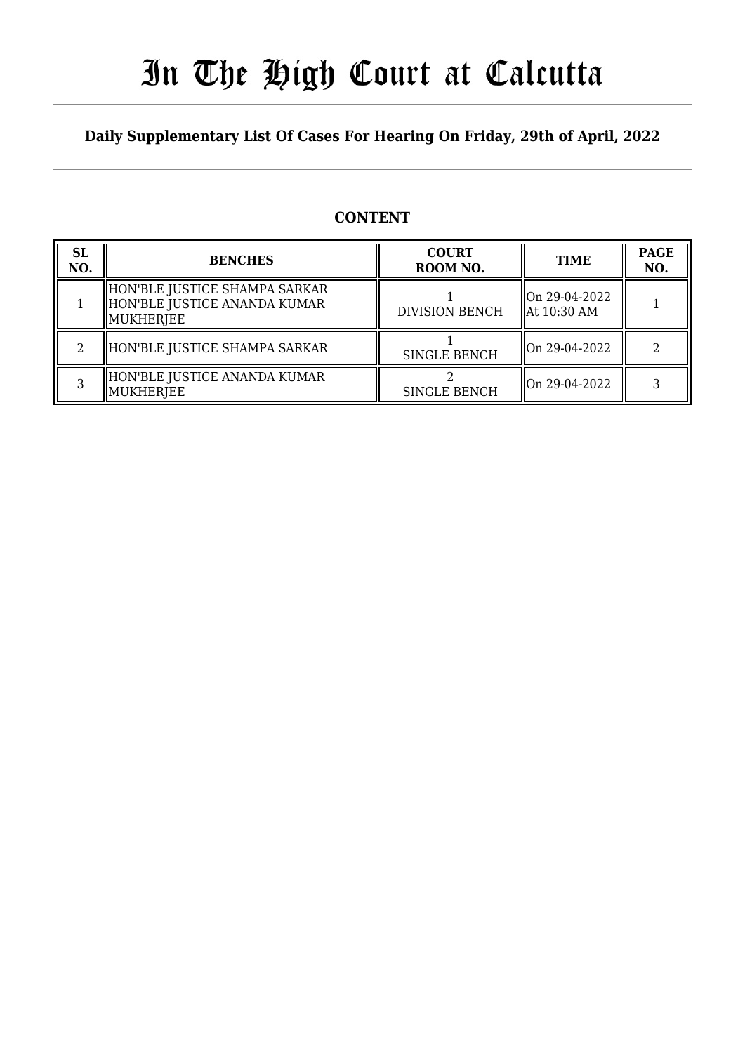# In The High Court at Calcutta

#### **Daily Supplementary List Of Cases For Hearing On Friday, 29th of April, 2022**

#### **CONTENT**

| <b>SL</b><br>NO. | <b>BENCHES</b>                                                                 | <b>COURT</b><br>ROOM NO. | <b>TIME</b>                                | <b>PAGE</b><br>NO. |
|------------------|--------------------------------------------------------------------------------|--------------------------|--------------------------------------------|--------------------|
|                  | HON'BLE JUSTICE SHAMPA SARKAR<br>  HON'BLE JUSTICE ANANDA KUMAR<br>  MUKHERJEE | <b>DIVISION BENCH</b>    | $\parallel$ On 29-04-2022<br>  At 10:30 AM |                    |
|                  | HON'BLE JUSTICE SHAMPA SARKAR                                                  | <b>SINGLE BENCH</b>      | $\parallel$ On 29-04-2022                  |                    |
|                  | HON'BLE JUSTICE ANANDA KUMAR<br> MUKHERJEE                                     | <b>SINGLE BENCH</b>      | $\parallel$ On 29-04-2022                  |                    |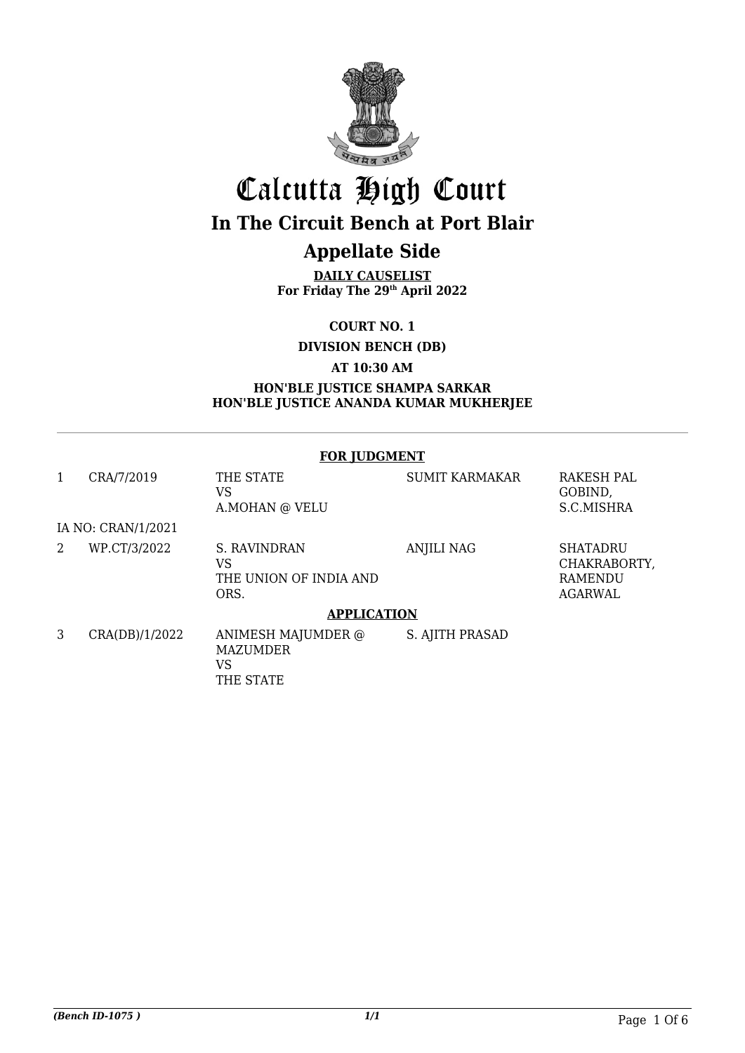

## Calcutta High Court **In The Circuit Bench at Port Blair**

## **Appellate Side**

**DAILY CAUSELIST For Friday The 29th April 2022**

**COURT NO. 1**

**DIVISION BENCH (DB)**

**AT 10:30 AM**

**HON'BLE JUSTICE SHAMPA SARKAR HON'BLE JUSTICE ANANDA KUMAR MUKHERJEE**

#### **FOR JUDGMENT**

|   | CRA/7/2019         | THE STATE<br>VS<br>A.MOHAN @ VELU                    | <b>SUMIT KARMAKAR</b> | RAKESH PAL<br>GOBIND,<br>S.C.MISHRA                          |
|---|--------------------|------------------------------------------------------|-----------------------|--------------------------------------------------------------|
|   | IA NO: CRAN/1/2021 |                                                      |                       |                                                              |
| 2 | WP.CT/3/2022       | S. RAVINDRAN<br>VS<br>THE UNION OF INDIA AND<br>ORS. | <b>ANJILI NAG</b>     | <b>SHATADRU</b><br>CHAKRABORTY,<br><b>RAMENDU</b><br>AGARWAL |
|   |                    | <b>APPLICATION</b>                                   |                       |                                                              |
| 3 | CRA(DB)/1/2022     | ANIMESH MAJUMDER @<br>MAZUMDER<br>VS<br>THE STATE    | S. AJITH PRASAD       |                                                              |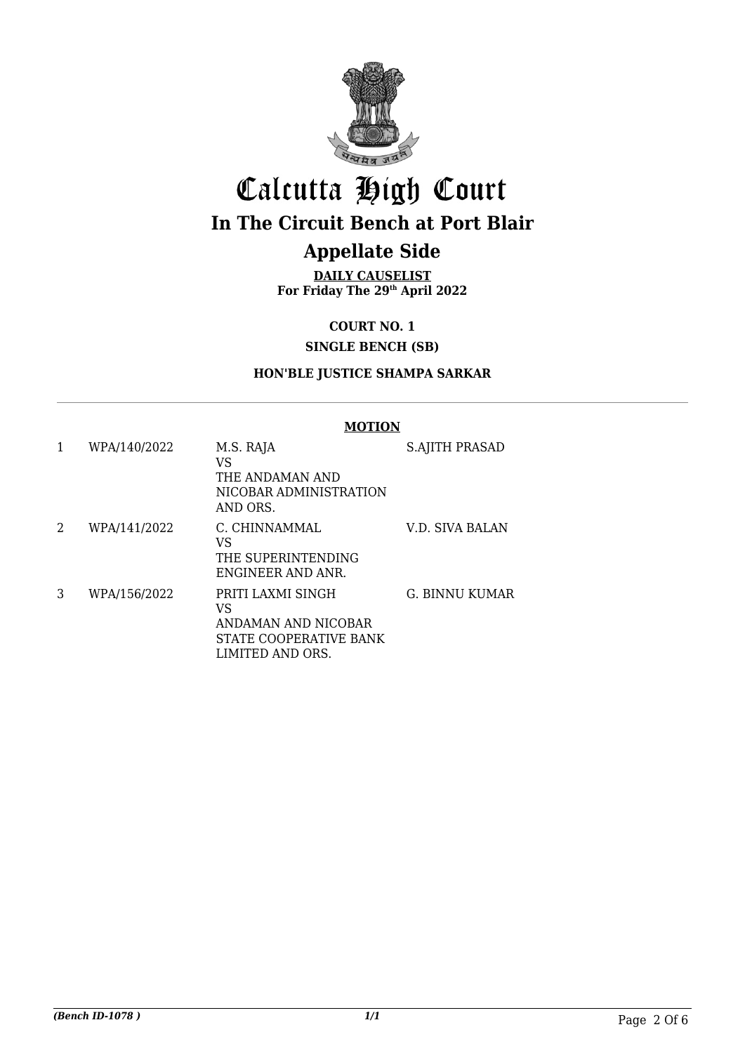

## Calcutta High Court **In The Circuit Bench at Port Blair**

### **Appellate Side**

**DAILY CAUSELIST For Friday The 29th April 2022**

**COURT NO. 1**

**SINGLE BENCH (SB)**

#### **HON'BLE JUSTICE SHAMPA SARKAR**

### **MOTION**

| 1 | WPA/140/2022 | M.S. RAJA<br>VS<br>THE ANDAMAN AND<br>NICOBAR ADMINISTRATION<br>AND ORS.                     | <b>S.AJITH PRASAD</b> |
|---|--------------|----------------------------------------------------------------------------------------------|-----------------------|
| 2 | WPA/141/2022 | C. CHINNAMMAL<br>VS<br>THE SUPERINTENDING<br>ENGINEER AND ANR.                               | V.D. SIVA BALAN       |
| 3 | WPA/156/2022 | PRITI LAXMI SINGH<br>VS<br>ANDAMAN AND NICOBAR<br>STATE COOPERATIVE BANK<br>LIMITED AND ORS. | G. BINNU KUMAR        |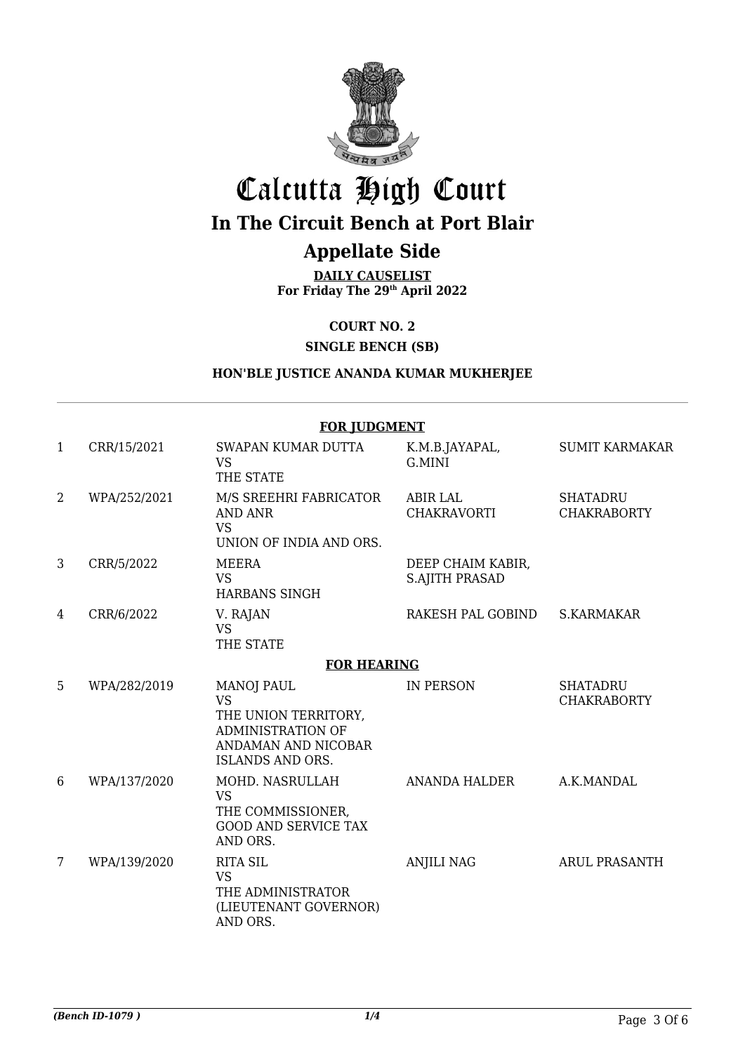

## Calcutta High Court **In The Circuit Bench at Port Blair**

### **Appellate Side**

**DAILY CAUSELIST For Friday The 29th April 2022**

**COURT NO. 2**

#### **SINGLE BENCH (SB)**

#### **HON'BLE JUSTICE ANANDA KUMAR MUKHERJEE**

|                | <b>FOR JUDGMENT</b> |                                                                                                                                      |                                            |                                       |  |  |
|----------------|---------------------|--------------------------------------------------------------------------------------------------------------------------------------|--------------------------------------------|---------------------------------------|--|--|
| $\mathbf{1}$   | CRR/15/2021         | SWAPAN KUMAR DUTTA<br><b>VS</b><br>THE STATE                                                                                         | K.M.B.JAYAPAL,<br>G.MINI                   | <b>SUMIT KARMAKAR</b>                 |  |  |
| $\overline{2}$ | WPA/252/2021        | M/S SREEHRI FABRICATOR<br><b>AND ANR</b><br><b>VS</b><br>UNION OF INDIA AND ORS.                                                     | <b>ABIR LAL</b><br><b>CHAKRAVORTI</b>      | <b>SHATADRU</b><br><b>CHAKRABORTY</b> |  |  |
| 3              | CRR/5/2022          | MEERA<br><b>VS</b><br>HARBANS SINGH                                                                                                  | DEEP CHAIM KABIR,<br><b>S.AJITH PRASAD</b> |                                       |  |  |
| 4              | CRR/6/2022          | V. RAJAN<br><b>VS</b><br>THE STATE                                                                                                   | RAKESH PAL GOBIND                          | <b>S.KARMAKAR</b>                     |  |  |
|                |                     | <b>FOR HEARING</b>                                                                                                                   |                                            |                                       |  |  |
| 5              | WPA/282/2019        | <b>MANOJ PAUL</b><br><b>VS</b><br>THE UNION TERRITORY,<br><b>ADMINISTRATION OF</b><br>ANDAMAN AND NICOBAR<br><b>ISLANDS AND ORS.</b> | <b>IN PERSON</b>                           | <b>SHATADRU</b><br><b>CHAKRABORTY</b> |  |  |
| 6              | WPA/137/2020        | MOHD. NASRULLAH<br><b>VS</b><br>THE COMMISSIONER,<br><b>GOOD AND SERVICE TAX</b><br>AND ORS.                                         | <b>ANANDA HALDER</b>                       | A.K.MANDAL                            |  |  |
| 7              | WPA/139/2020        | <b>RITA SIL</b><br><b>VS</b><br>THE ADMINISTRATOR<br>(LIEUTENANT GOVERNOR)<br>AND ORS.                                               | <b>ANJILI NAG</b>                          | <b>ARUL PRASANTH</b>                  |  |  |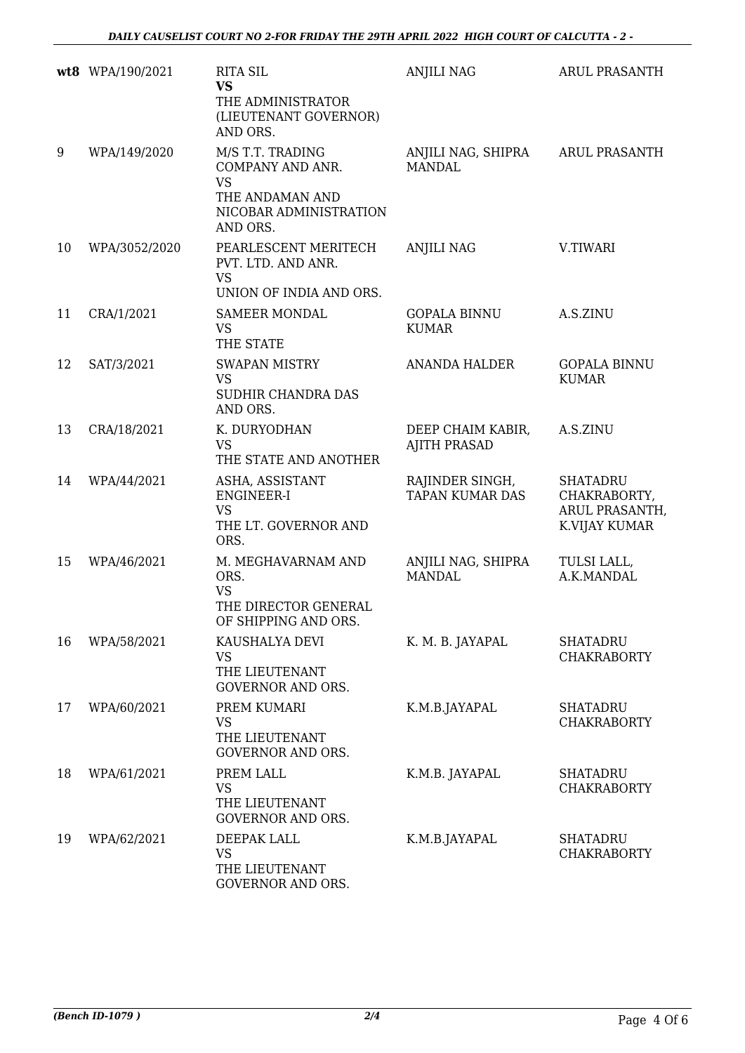|    | wt8 WPA/190/2021 | <b>RITA SIL</b><br><b>VS</b><br>THE ADMINISTRATOR<br>(LIEUTENANT GOVERNOR)<br>AND ORS.                     | <b>ANJILI NAG</b>                         | <b>ARUL PRASANTH</b>                                               |
|----|------------------|------------------------------------------------------------------------------------------------------------|-------------------------------------------|--------------------------------------------------------------------|
| 9  | WPA/149/2020     | M/S T.T. TRADING<br>COMPANY AND ANR.<br><b>VS</b><br>THE ANDAMAN AND<br>NICOBAR ADMINISTRATION<br>AND ORS. | ANJILI NAG, SHIPRA<br><b>MANDAL</b>       | <b>ARUL PRASANTH</b>                                               |
| 10 | WPA/3052/2020    | PEARLESCENT MERITECH<br>PVT. LTD. AND ANR.<br><b>VS</b><br>UNION OF INDIA AND ORS.                         | <b>ANJILI NAG</b>                         | V.TIWARI                                                           |
| 11 | CRA/1/2021       | <b>SAMEER MONDAL</b><br><b>VS</b><br>THE STATE                                                             | <b>GOPALA BINNU</b><br><b>KUMAR</b>       | A.S.ZINU                                                           |
| 12 | SAT/3/2021       | <b>SWAPAN MISTRY</b><br><b>VS</b><br>SUDHIR CHANDRA DAS<br>AND ORS.                                        | <b>ANANDA HALDER</b>                      | <b>GOPALA BINNU</b><br><b>KUMAR</b>                                |
| 13 | CRA/18/2021      | K. DURYODHAN<br><b>VS</b><br>THE STATE AND ANOTHER                                                         | DEEP CHAIM KABIR,<br><b>AJITH PRASAD</b>  | A.S.ZINU                                                           |
| 14 | WPA/44/2021      | ASHA, ASSISTANT<br>ENGINEER-I<br><b>VS</b><br>THE LT. GOVERNOR AND<br>ORS.                                 | RAJINDER SINGH,<br><b>TAPAN KUMAR DAS</b> | <b>SHATADRU</b><br>CHAKRABORTY,<br>ARUL PRASANTH,<br>K.VIJAY KUMAR |
| 15 | WPA/46/2021      | M. MEGHAVARNAM AND<br>ORS.<br><b>VS</b><br>THE DIRECTOR GENERAL<br>OF SHIPPING AND ORS.                    | ANJILI NAG, SHIPRA<br><b>MANDAL</b>       | TULSI LALL,<br>A.K.MANDAL                                          |
| 16 | WPA/58/2021      | KAUSHALYA DEVI<br><b>VS</b><br>THE LIEUTENANT<br><b>GOVERNOR AND ORS.</b>                                  | K. M. B. JAYAPAL                          | <b>SHATADRU</b><br><b>CHAKRABORTY</b>                              |
| 17 | WPA/60/2021      | PREM KUMARI<br><b>VS</b><br>THE LIEUTENANT<br><b>GOVERNOR AND ORS.</b>                                     | K.M.B.JAYAPAL                             | <b>SHATADRU</b><br><b>CHAKRABORTY</b>                              |
| 18 | WPA/61/2021      | PREM LALL<br><b>VS</b><br>THE LIEUTENANT<br><b>GOVERNOR AND ORS.</b>                                       | K.M.B. JAYAPAL                            | <b>SHATADRU</b><br><b>CHAKRABORTY</b>                              |
| 19 | WPA/62/2021      | DEEPAK LALL<br><b>VS</b><br>THE LIEUTENANT<br><b>GOVERNOR AND ORS.</b>                                     | K.M.B.JAYAPAL                             | <b>SHATADRU</b><br><b>CHAKRABORTY</b>                              |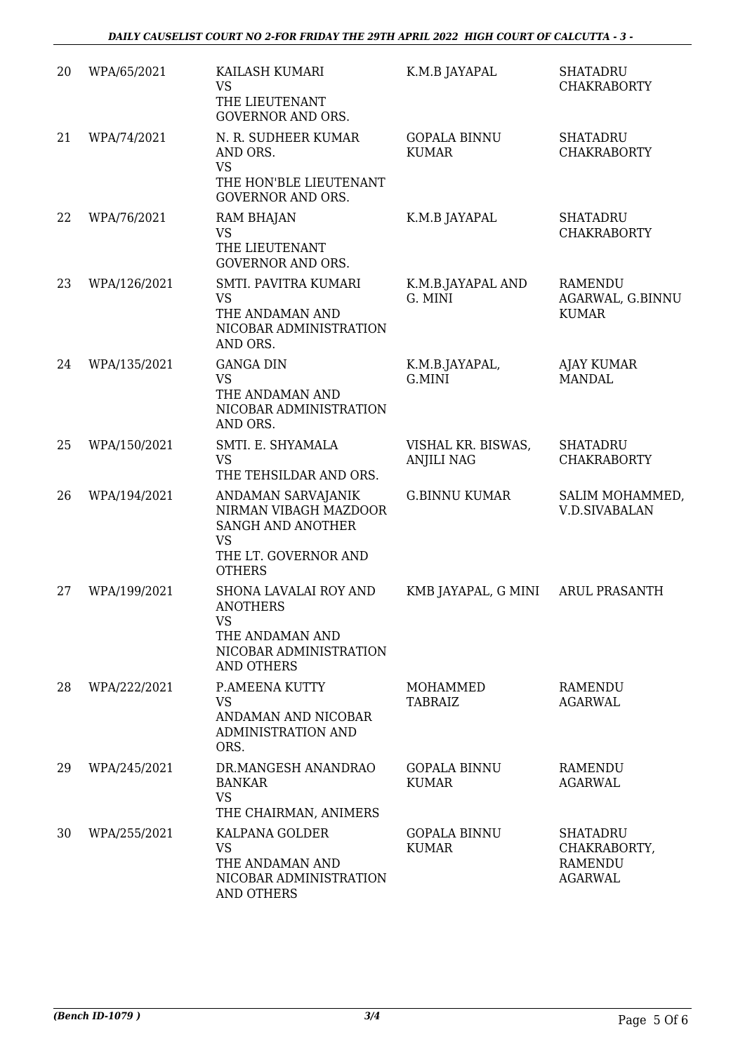| 20 | WPA/65/2021  | KAILASH KUMARI<br><b>VS</b><br>THE LIEUTENANT<br><b>GOVERNOR AND ORS.</b>                                               | K.M.B JAYAPAL                           | <b>SHATADRU</b><br><b>CHAKRABORTY</b>                               |
|----|--------------|-------------------------------------------------------------------------------------------------------------------------|-----------------------------------------|---------------------------------------------------------------------|
| 21 | WPA/74/2021  | N. R. SUDHEER KUMAR<br>AND ORS.<br><b>VS</b><br>THE HON'BLE LIEUTENANT<br><b>GOVERNOR AND ORS.</b>                      | <b>GOPALA BINNU</b><br><b>KUMAR</b>     | <b>SHATADRU</b><br><b>CHAKRABORTY</b>                               |
| 22 | WPA/76/2021  | <b>RAM BHAJAN</b><br><b>VS</b><br>THE LIEUTENANT<br><b>GOVERNOR AND ORS.</b>                                            | K.M.B JAYAPAL                           | <b>SHATADRU</b><br><b>CHAKRABORTY</b>                               |
| 23 | WPA/126/2021 | SMTI. PAVITRA KUMARI<br><b>VS</b><br>THE ANDAMAN AND<br>NICOBAR ADMINISTRATION<br>AND ORS.                              | K.M.B.JAYAPAL AND<br>G. MINI            | <b>RAMENDU</b><br>AGARWAL, G.BINNU<br><b>KUMAR</b>                  |
| 24 | WPA/135/2021 | <b>GANGA DIN</b><br><b>VS</b><br>THE ANDAMAN AND<br>NICOBAR ADMINISTRATION<br>AND ORS.                                  | K.M.B.JAYAPAL,<br>G.MINI                | <b>AJAY KUMAR</b><br><b>MANDAL</b>                                  |
| 25 | WPA/150/2021 | SMTI. E. SHYAMALA<br><b>VS</b><br>THE TEHSILDAR AND ORS.                                                                | VISHAL KR. BISWAS,<br><b>ANJILI NAG</b> | <b>SHATADRU</b><br><b>CHAKRABORTY</b>                               |
| 26 | WPA/194/2021 | ANDAMAN SARVAJANIK<br>NIRMAN VIBAGH MAZDOOR<br>SANGH AND ANOTHER<br><b>VS</b><br>THE LT. GOVERNOR AND<br><b>OTHERS</b>  | <b>G.BINNU KUMAR</b>                    | SALIM MOHAMMED,<br><b>V.D.SIVABALAN</b>                             |
| 27 | WPA/199/2021 | SHONA LAVALAI ROY AND<br><b>ANOTHERS</b><br><b>VS</b><br>THE ANDAMAN AND<br>NICOBAR ADMINISTRATION<br><b>AND OTHERS</b> | KMB JAYAPAL, G MINI                     | <b>ARUL PRASANTH</b>                                                |
| 28 | WPA/222/2021 | P.AMEENA KUTTY<br><b>VS</b><br>ANDAMAN AND NICOBAR<br>ADMINISTRATION AND<br>ORS.                                        | MOHAMMED<br><b>TABRAIZ</b>              | RAMENDU<br><b>AGARWAL</b>                                           |
| 29 | WPA/245/2021 | DR.MANGESH ANANDRAO<br><b>BANKAR</b><br><b>VS</b><br>THE CHAIRMAN, ANIMERS                                              | <b>GOPALA BINNU</b><br><b>KUMAR</b>     | RAMENDU<br><b>AGARWAL</b>                                           |
| 30 | WPA/255/2021 | KALPANA GOLDER<br><b>VS</b><br>THE ANDAMAN AND<br>NICOBAR ADMINISTRATION<br>AND OTHERS                                  | <b>GOPALA BINNU</b><br><b>KUMAR</b>     | <b>SHATADRU</b><br>CHAKRABORTY,<br><b>RAMENDU</b><br><b>AGARWAL</b> |